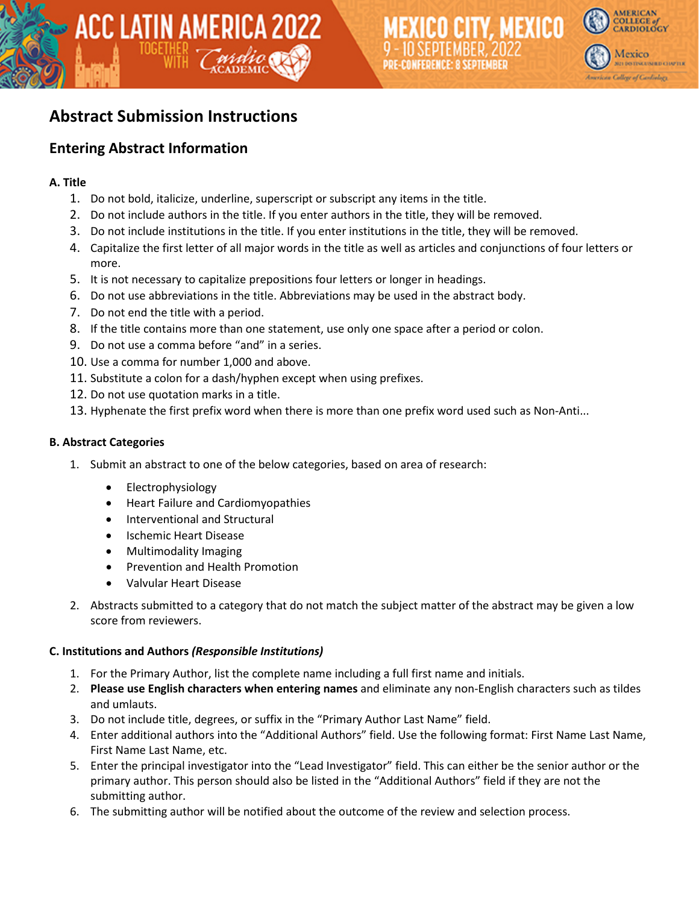

# **Abstract Submission Instructions**

ACC LATIN AMERICA 2022

## **Entering Abstract Information**

#### **A. Title**

- 1. Do not bold, italicize, underline, superscript or subscript any items in the title.
- 2. Do not include authors in the title. If you enter authors in the title, they will be removed.
- 3. Do not include institutions in the title. If you enter institutions in the title, they will be removed.
- 4. Capitalize the first letter of all major words in the title as well as articles and conjunctions of four letters or more.
- 5. It is not necessary to capitalize prepositions four letters or longer in headings.
- 6. Do not use abbreviations in the title. Abbreviations may be used in the abstract body.
- 7. Do not end the title with a period.
- 8. If the title contains more than one statement, use only one space after a period or colon.
- 9. Do not use a comma before "and" in a series.
- 10. Use a comma for number 1,000 and above.
- 11. Substitute a colon for a dash/hyphen except when using prefixes.
- 12. Do not use quotation marks in a title.
- 13. Hyphenate the first prefix word when there is more than one prefix word used such as Non-Anti...

#### **B. Abstract Categories**

- 1. Submit an abstract to one of the below categories, based on area of research:
	- Electrophysiology
	- Heart Failure and Cardiomyopathies
	- Interventional and Structural
	- Ischemic Heart Disease
	- Multimodality Imaging
	- Prevention and Health Promotion
	- Valvular Heart Disease
- 2. Abstracts submitted to a category that do not match the subject matter of the abstract may be given a low score from reviewers.

#### **C. Institutions and Authors** *(Responsible Institutions)*

- 1. For the Primary Author, list the complete name including a full first name and initials.
- 2. **Please use English characters when entering names** and eliminate any non-English characters such as tildes and umlauts.
- 3. Do not include title, degrees, or suffix in the "Primary Author Last Name" field.
- 4. Enter additional authors into the "Additional Authors" field. Use the following format: First Name Last Name, First Name Last Name, etc.
- 5. Enter the principal investigator into the "Lead Investigator" field. This can either be the senior author or the primary author. This person should also be listed in the "Additional Authors" field if they are not the submitting author.
- 6. The submitting author will be notified about the outcome of the review and selection process.